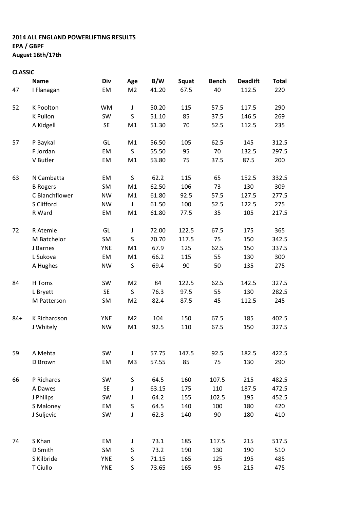## 2014 ALL ENGLAND POWERLIFTING RESULTS EPA / GBPF August 16th/17th

## CLASSIC

|        | <b>Name</b>     | Div        | Age            | B/W   | Squat | <b>Bench</b> | <b>Deadlift</b>                                                                                                                                                                           | <b>Total</b> |
|--------|-----------------|------------|----------------|-------|-------|--------------|-------------------------------------------------------------------------------------------------------------------------------------------------------------------------------------------|--------------|
| 47     | I Flanagan      | EM         | M <sub>2</sub> | 41.20 | 67.5  | 40           | 112.5                                                                                                                                                                                     | 220          |
| 52     | K Poolton       | <b>WM</b>  | J              | 50.20 | 115   | 57.5         | 117.5                                                                                                                                                                                     | 290          |
|        | K Pullon        | SW         | S              | 51.10 | 85    | 37.5         | 146.5                                                                                                                                                                                     | 269          |
|        | A Kidgell       | <b>SE</b>  | M1             | 51.30 | 70    | 52.5         | 112.5                                                                                                                                                                                     | 235          |
| 57     | P Baykal        | GL         | M1             | 56.50 | 105   | 62.5         | 145                                                                                                                                                                                       | 312.5        |
|        | F Jordan        | EM         | S              | 55.50 | 95    | 70           | 132.5                                                                                                                                                                                     | 297.5        |
|        | V Butler        | EM         | M1             | 53.80 | 75    | 37.5         | 87.5                                                                                                                                                                                      | 200          |
| 63     | N Cambatta      | EM         | S              | 62.2  | 115   | 65           | 152.5<br>130<br>127.5<br>122.5<br>105<br>175<br>150<br>150<br>130<br>135<br>142.5<br>130<br>112.5<br>185<br>150<br>182.5<br>130<br>215<br>187.5<br>195<br>180<br>180<br>215<br>190<br>195 | 332.5        |
|        | <b>B</b> Rogers | SM         | M1             | 62.50 | 106   | 73           |                                                                                                                                                                                           | 309          |
|        | C Blanchflower  | <b>NW</b>  | M1             | 61.80 | 92.5  | 57.5         |                                                                                                                                                                                           | 277.5        |
|        | S Clifford      | <b>NW</b>  | J              | 61.50 | 100   | 52.5         |                                                                                                                                                                                           | 275          |
|        | R Ward          | EM         | M1             | 61.80 | 77.5  | 35           |                                                                                                                                                                                           | 217.5        |
| 72     | R Atemie        | GL         | J              | 72.00 | 122.5 | 67.5         |                                                                                                                                                                                           | 365          |
|        | M Batchelor     | SM         | S              | 70.70 | 117.5 | 75           |                                                                                                                                                                                           | 342.5        |
|        | J Barnes        | <b>YNE</b> | M1             | 67.9  | 125   | 62.5         |                                                                                                                                                                                           | 337.5        |
|        | L Sukova        | EM         | M1             | 66.2  | 115   | 55           |                                                                                                                                                                                           | 300          |
|        | A Hughes        | <b>NW</b>  | S              | 69.4  | 90    | 50           |                                                                                                                                                                                           | 275          |
| 84     | H Toms          | SW         | M <sub>2</sub> | 84    | 122.5 | 62.5         |                                                                                                                                                                                           | 327.5        |
|        | L Bryett        | <b>SE</b>  | S              | 76.3  | 97.5  | 55           |                                                                                                                                                                                           | 282.5        |
|        | M Patterson     | SM         | M <sub>2</sub> | 82.4  | 87.5  | 45           |                                                                                                                                                                                           | 245          |
| $84 +$ | K Richardson    | <b>YNE</b> | M <sub>2</sub> | 104   | 150   | 67.5         |                                                                                                                                                                                           | 402.5        |
|        | J Whitely       | <b>NW</b>  | M1             | 92.5  | 110   | 67.5         |                                                                                                                                                                                           | 327.5        |
|        |                 |            |                |       |       |              |                                                                                                                                                                                           |              |
| 59     | A Mehta         | SW         | J              | 57.75 | 147.5 | 92.5         |                                                                                                                                                                                           | 422.5        |
|        | D Brown         | EM         | M <sub>3</sub> | 57.55 | 85    | 75           |                                                                                                                                                                                           | 290          |
| 66     | P Richards      | SW         | S              | 64.5  | 160   | 107.5        |                                                                                                                                                                                           | 482.5        |
|        | A Dawes         | <b>SE</b>  | J              | 63.15 | 175   | 110          |                                                                                                                                                                                           | 472.5        |
|        | J Philips       | SW         | J              | 64.2  | 155   | 102.5        |                                                                                                                                                                                           | 452.5        |
|        | S Maloney       | EM         | S              | 64.5  | 140   | 100          |                                                                                                                                                                                           | 420          |
|        | J Suljevic      | SW         | J              | 62.3  | 140   | 90           |                                                                                                                                                                                           | 410          |
| 74     | S Khan          | EM         | J              | 73.1  | 185   | 117.5        |                                                                                                                                                                                           | 517.5        |
|        | D Smith         | SM         | S              | 73.2  | 190   | 130          |                                                                                                                                                                                           | 510          |
|        | S Kilbride      | <b>YNE</b> | S              | 71.15 | 165   | 125          |                                                                                                                                                                                           | 485          |
|        | T Ciullo        | <b>YNE</b> | S              | 73.65 | 165   | 95           | 215                                                                                                                                                                                       | 475          |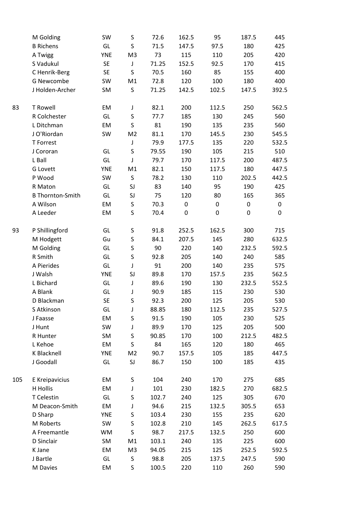|     | M Golding               | SW         | S              | 72.6  | 162.5     | 95        | 187.5     | 445   |
|-----|-------------------------|------------|----------------|-------|-----------|-----------|-----------|-------|
|     | <b>B</b> Richens        | GL         | $\sf S$        | 71.5  | 147.5     | 97.5      | 180       | 425   |
|     | A Twigg                 | <b>YNE</b> | M <sub>3</sub> | 73    | 115       | 110       | 205       | 420   |
|     | S Vadukul               | SE         | J              | 71.25 | 152.5     | 92.5      | 170       | 415   |
|     | C Henrik-Berg           | SE         | S              | 70.5  | 160       | 85        | 155       | 400   |
|     | G Newcombe              | SW         | M1             | 72.8  | 120       | 100       | 180       | 400   |
|     | J Holden-Archer         | SM         | $\sf S$        | 71.25 | 142.5     | 102.5     | 147.5     | 392.5 |
|     |                         |            |                |       |           |           |           |       |
| 83  | <b>T Rowell</b>         | EM         | J              | 82.1  | 200       | 112.5     | 250       | 562.5 |
|     | R Colchester            | GL         | S              | 77.7  | 185       | 130       | 245       | 560   |
|     | L Ditchman              | EM         | S              | 81    | 190       | 135       | 235       | 560   |
|     | J O'Riordan             | SW         | M <sub>2</sub> | 81.1  | 170       | 145.5     | 230       | 545.5 |
|     | T Forrest               |            | J              | 79.9  | 177.5     | 135       | 220       | 532.5 |
|     | J Cororan               | GL         | S              | 79.55 | 190       | 105       | 215       | 510   |
|     | L Ball                  | GL         | J              | 79.7  | 170       | 117.5     | 200       | 487.5 |
|     | <b>G</b> Lovett         | <b>YNE</b> | M1             | 82.1  | 150       | 117.5     | 180       | 447.5 |
|     | P Wood                  | SW         | S              | 78.2  | 130       | 110       | 202.5     | 442.5 |
|     | R Maton                 | GL         | SJ             | 83    | 140       | 95        | 190       | 425   |
|     | <b>B Thornton-Smith</b> | GL         | SJ             | 75    | 120       | 80        | 165       | 365   |
|     | A Wilson                | EM         | S              | 70.3  | $\pmb{0}$ | 0         | 0         | 0     |
|     | A Leeder                | EM         | S              | 70.4  | 0         | $\pmb{0}$ | $\pmb{0}$ | 0     |
| 93  | P Shillingford          | GL         | $\sf S$        | 91.8  | 252.5     | 162.5     | 300       | 715   |
|     | M Hodgett               | Gu         | S              | 84.1  | 207.5     | 145       | 280       | 632.5 |
|     | M Golding               | GL         | S              | 90    | 220       | 140       | 232.5     | 592.5 |
|     | R Smith                 | GL         | S              | 92.8  | 205       | 140       | 240       | 585   |
|     | A Pierides              | GL         | J              | 91    | 200       | 140       | 235       | 575   |
|     | J Walsh                 | <b>YNE</b> | SJ             | 89.8  | 170       | 157.5     | 235       | 562.5 |
|     | L Bichard               | GL         | J              | 89.6  | 190       | 130       | 232.5     | 552.5 |
|     | A Blank                 | GL         | J              | 90.9  | 185       | 115       | 230       | 530   |
|     | D Blackman              | <b>SE</b>  | S              | 92.3  | 200       | 125       | 205       | 530   |
|     | S Atkinson              | GL         | J              | 88.85 | 180       | 112.5     | 235       | 527.5 |
|     | J Faasse                | EM         | S              | 91.5  | 190       | 105       | 230       | 525   |
|     | J Hunt                  | SW         | J              | 89.9  | 170       | 125       | 205       | 500   |
|     | R Hunter                | SM         | S              | 90.85 | 170       | 100       | 212.5     | 482.5 |
|     | L Kehoe                 | EM         | S              | 84    | 165       | 120       | 180       | 465   |
|     | K Blacknell             | <b>YNE</b> | M <sub>2</sub> | 90.7  | 157.5     | 105       | 185       | 447.5 |
|     | J Goodall               | GL         | SJ             | 86.7  | 150       | 100       | 185       | 435   |
| 105 | E Kreipavicius          | EM         | $\sf S$        | 104   | 240       | 170       | 275       | 685   |
|     | H Hollis                | EM         | J              | 101   | 230       | 182.5     | 270       | 682.5 |
|     | T Celestin              | GL         | S              | 102.7 | 240       | 125       | 305       | 670   |
|     | M Deacon-Smith          | EM         | J              | 94.6  | 215       | 132.5     | 305.5     | 653   |
|     | D Sharp                 | <b>YNE</b> |                |       | 230       | 155       |           | 620   |
|     |                         |            | S              | 103.4 |           |           | 235       |       |
|     | M Roberts               | SW         | S              | 102.8 | 210       | 145       | 262.5     | 617.5 |
|     | A Freemantle            | WM         | S              | 98.7  | 217.5     | 132.5     | 250       | 600   |
|     | D Sinclair              | SM         | M1             | 103.1 | 240       | 135       | 225       | 600   |
|     | K Jane                  | EM         | M <sub>3</sub> | 94.05 | 215       | 125       | 252.5     | 592.5 |
|     | J Bartle                | GL         | S              | 98.8  | 205       | 137.5     | 247.5     | 590   |
|     | M Davies                | EM         | S              | 100.5 | 220       | 110       | 260       | 590   |